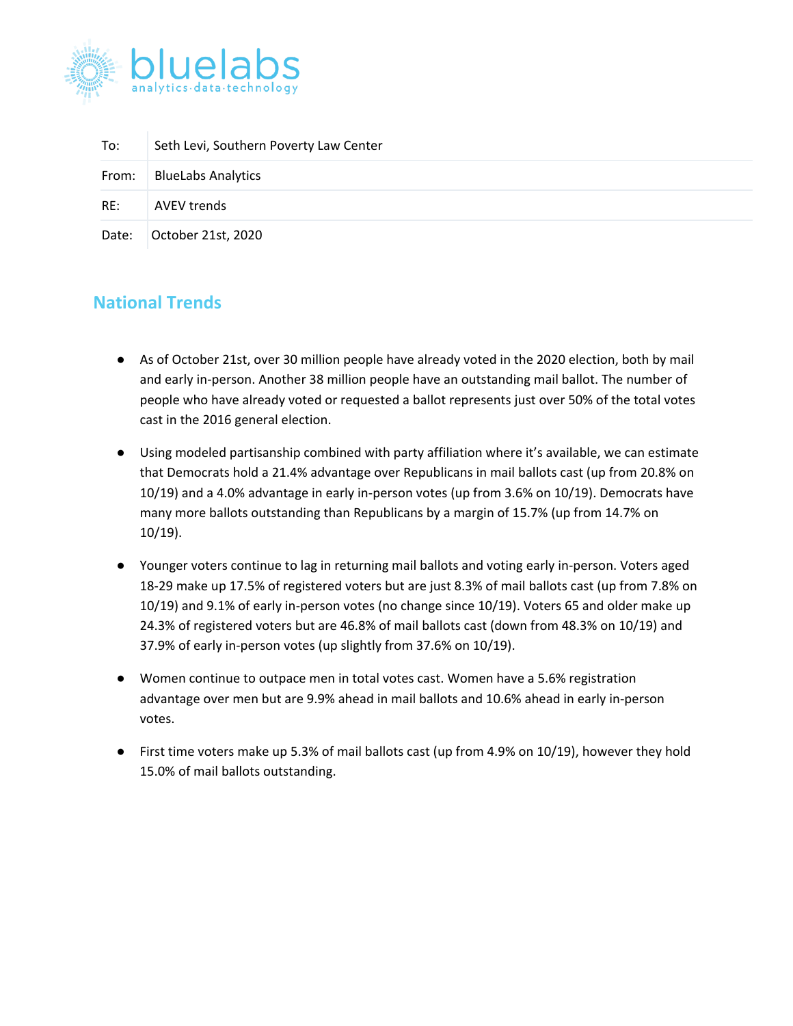

| To:   | Seth Levi, Southern Poverty Law Center |
|-------|----------------------------------------|
| From: | <b>BlueLabs Analytics</b>              |
| RE:   | AVEV trends                            |
| Date: | October 21st, 2020                     |

## **National Trends**

- As of October 21st, over 30 million people have already voted in the 2020 election, both by mail and early in-person. Another 38 million people have an outstanding mail ballot. The number of people who have already voted or requested a ballot represents just over 50% of the total votes cast in the 2016 general election.
- Using modeled partisanship combined with party affiliation where it's available, we can estimate that Democrats hold a 21.4% advantage over Republicans in mail ballots cast (up from 20.8% on 10/19) and a 4.0% advantage in early in-person votes (up from 3.6% on 10/19). Democrats have many more ballots outstanding than Republicans by a margin of 15.7% (up from 14.7% on 10/19).
- Younger voters continue to lag in returning mail ballots and voting early in-person. Voters aged 18-29 make up 17.5% of registered voters but are just 8.3% of mail ballots cast (up from 7.8% on 10/19) and 9.1% of early in-person votes (no change since 10/19). Voters 65 and older make up 24.3% of registered voters but are 46.8% of mail ballots cast (down from 48.3% on 10/19) and 37.9% of early in-person votes (up slightly from 37.6% on 10/19).
- Women continue to outpace men in total votes cast. Women have a 5.6% registration advantage over men but are 9.9% ahead in mail ballots and 10.6% ahead in early in-person votes.
- First time voters make up 5.3% of mail ballots cast (up from 4.9% on 10/19), however they hold 15.0% of mail ballots outstanding.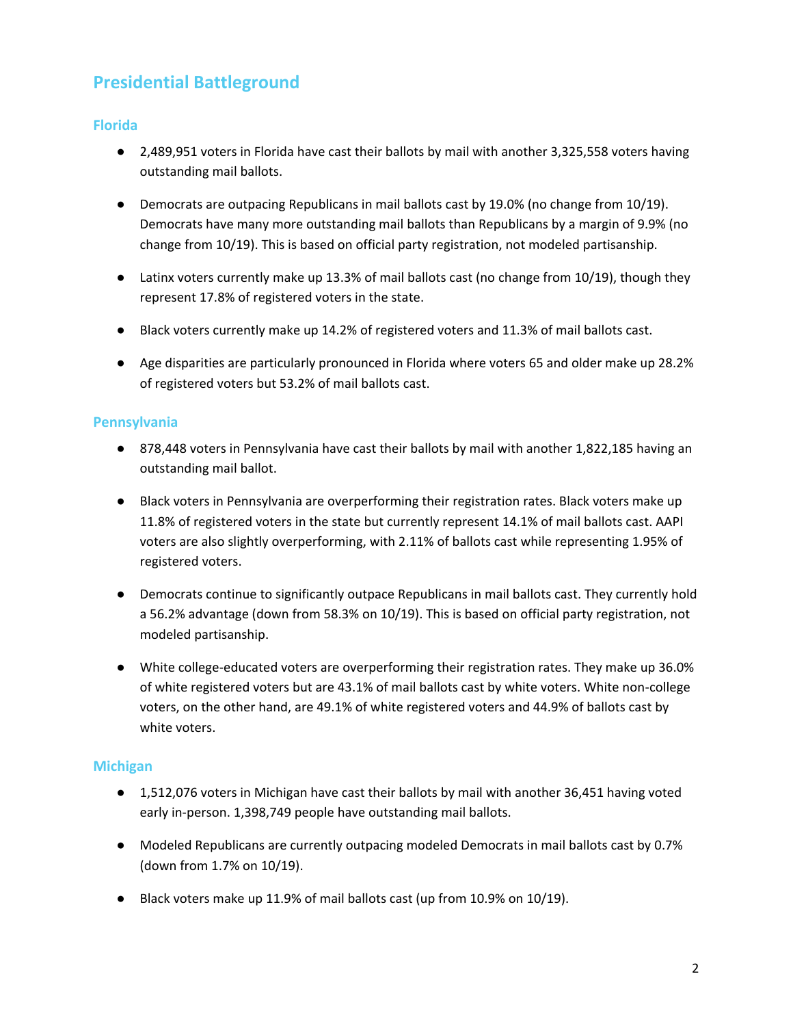# **Presidential Battleground**

#### **Florida**

- 2,489,951 voters in Florida have cast their ballots by mail with another 3,325,558 voters having outstanding mail ballots.
- Democrats are outpacing Republicans in mail ballots cast by 19.0% (no change from 10/19). Democrats have many more outstanding mail ballots than Republicans by a margin of 9.9% (no change from 10/19). This is based on official party registration, not modeled partisanship.
- Latinx voters currently make up 13.3% of mail ballots cast (no change from 10/19), though they represent 17.8% of registered voters in the state.
- Black voters currently make up 14.2% of registered voters and 11.3% of mail ballots cast.
- Age disparities are particularly pronounced in Florida where voters 65 and older make up 28.2% of registered voters but 53.2% of mail ballots cast.

#### **Pennsylvania**

- 878,448 voters in Pennsylvania have cast their ballots by mail with another 1,822,185 having an outstanding mail ballot.
- Black voters in Pennsylvania are overperforming their registration rates. Black voters make up 11.8% of registered voters in the state but currently represent 14.1% of mail ballots cast. AAPI voters are also slightly overperforming, with 2.11% of ballots cast while representing 1.95% of registered voters.
- Democrats continue to significantly outpace Republicans in mail ballots cast. They currently hold a 56.2% advantage (down from 58.3% on 10/19). This is based on official party registration, not modeled partisanship.
- White college-educated voters are overperforming their registration rates. They make up 36.0% of white registered voters but are 43.1% of mail ballots cast by white voters. White non-college voters, on the other hand, are 49.1% of white registered voters and 44.9% of ballots cast by white voters.

#### **Michigan**

- 1,512,076 voters in Michigan have cast their ballots by mail with another 36,451 having voted early in-person. 1,398,749 people have outstanding mail ballots.
- Modeled Republicans are currently outpacing modeled Democrats in mail ballots cast by 0.7% (down from 1.7% on 10/19).
- Black voters make up 11.9% of mail ballots cast (up from 10.9% on 10/19).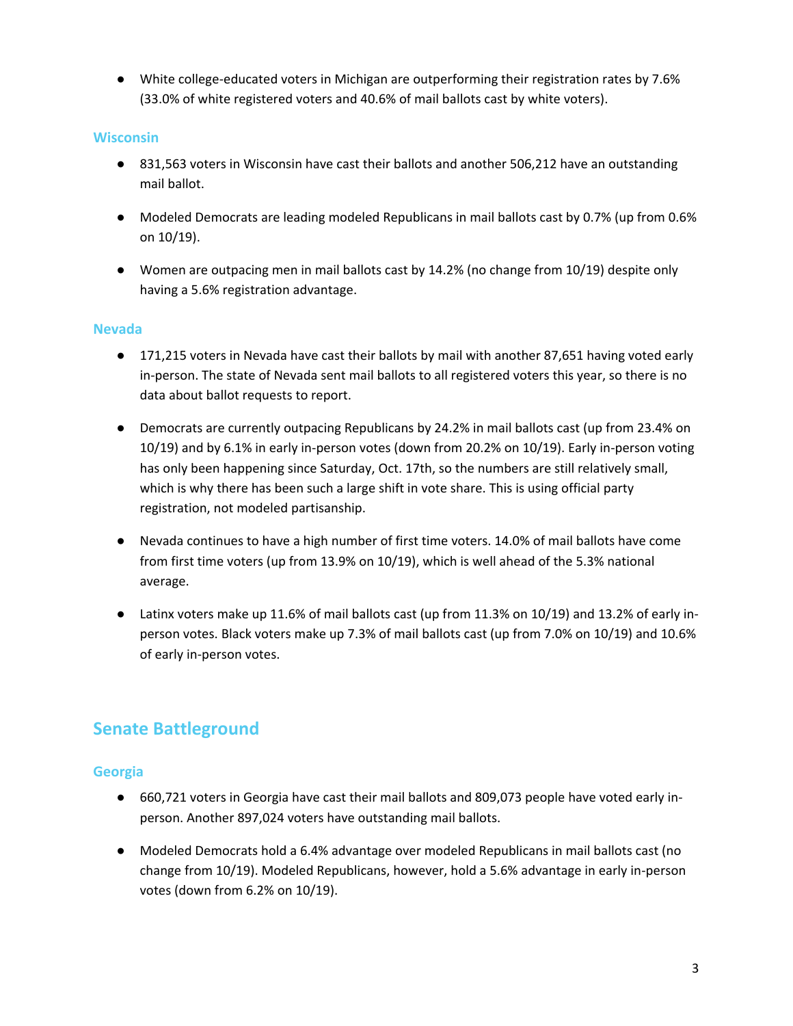● White college-educated voters in Michigan are outperforming their registration rates by 7.6% (33.0% of white registered voters and 40.6% of mail ballots cast by white voters).

### **Wisconsin**

- 831,563 voters in Wisconsin have cast their ballots and another 506,212 have an outstanding mail ballot.
- Modeled Democrats are leading modeled Republicans in mail ballots cast by 0.7% (up from 0.6% on 10/19).
- Women are outpacing men in mail ballots cast by 14.2% (no change from 10/19) despite only having a 5.6% registration advantage.

#### **Nevada**

- 171,215 voters in Nevada have cast their ballots by mail with another 87,651 having voted early in-person. The state of Nevada sent mail ballots to all registered voters this year, so there is no data about ballot requests to report.
- Democrats are currently outpacing Republicans by 24.2% in mail ballots cast (up from 23.4% on 10/19) and by 6.1% in early in-person votes (down from 20.2% on 10/19). Early in-person voting has only been happening since Saturday, Oct. 17th, so the numbers are still relatively small, which is why there has been such a large shift in vote share. This is using official party registration, not modeled partisanship.
- Nevada continues to have a high number of first time voters. 14.0% of mail ballots have come from first time voters (up from 13.9% on 10/19), which is well ahead of the 5.3% national average.
- Latinx voters make up 11.6% of mail ballots cast (up from 11.3% on 10/19) and 13.2% of early inperson votes. Black voters make up 7.3% of mail ballots cast (up from 7.0% on 10/19) and 10.6% of early in-person votes.

## **Senate Battleground**

#### **Georgia**

- 660,721 voters in Georgia have cast their mail ballots and 809,073 people have voted early inperson. Another 897,024 voters have outstanding mail ballots.
- Modeled Democrats hold a 6.4% advantage over modeled Republicans in mail ballots cast (no change from 10/19). Modeled Republicans, however, hold a 5.6% advantage in early in-person votes (down from 6.2% on 10/19).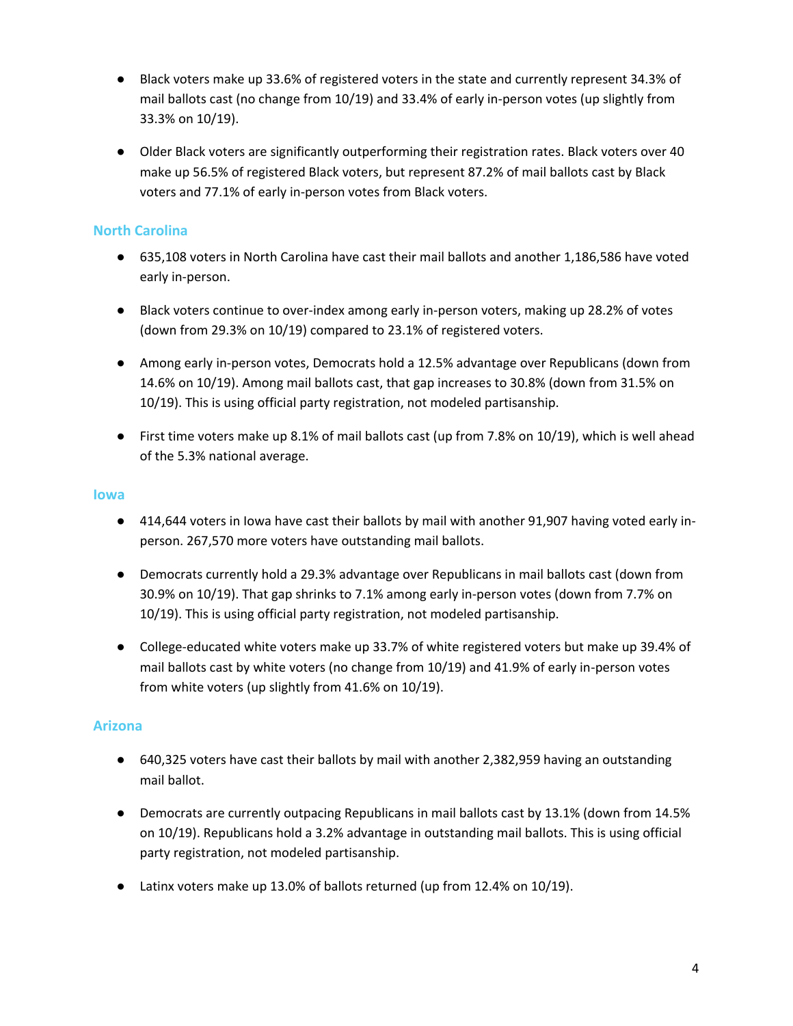- Black voters make up 33.6% of registered voters in the state and currently represent 34.3% of mail ballots cast (no change from 10/19) and 33.4% of early in-person votes (up slightly from 33.3% on 10/19).
- Older Black voters are significantly outperforming their registration rates. Black voters over 40 make up 56.5% of registered Black voters, but represent 87.2% of mail ballots cast by Black voters and 77.1% of early in-person votes from Black voters.

### **North Carolina**

- 635,108 voters in North Carolina have cast their mail ballots and another 1,186,586 have voted early in-person.
- Black voters continue to over-index among early in-person voters, making up 28.2% of votes (down from 29.3% on 10/19) compared to 23.1% of registered voters.
- Among early in-person votes, Democrats hold a 12.5% advantage over Republicans (down from 14.6% on 10/19). Among mail ballots cast, that gap increases to 30.8% (down from 31.5% on 10/19). This is using official party registration, not modeled partisanship.
- First time voters make up 8.1% of mail ballots cast (up from 7.8% on 10/19), which is well ahead of the 5.3% national average.

#### **Iowa**

- 414,644 voters in lowa have cast their ballots by mail with another 91,907 having voted early inperson. 267,570 more voters have outstanding mail ballots.
- Democrats currently hold a 29.3% advantage over Republicans in mail ballots cast (down from 30.9% on 10/19). That gap shrinks to 7.1% among early in-person votes (down from 7.7% on 10/19). This is using official party registration, not modeled partisanship.
- College-educated white voters make up 33.7% of white registered voters but make up 39.4% of mail ballots cast by white voters (no change from 10/19) and 41.9% of early in-person votes from white voters (up slightly from 41.6% on 10/19).

## **Arizona**

- 640,325 voters have cast their ballots by mail with another 2,382,959 having an outstanding mail ballot.
- Democrats are currently outpacing Republicans in mail ballots cast by 13.1% (down from 14.5% on 10/19). Republicans hold a 3.2% advantage in outstanding mail ballots. This is using official party registration, not modeled partisanship.
- Latinx voters make up 13.0% of ballots returned (up from 12.4% on 10/19).